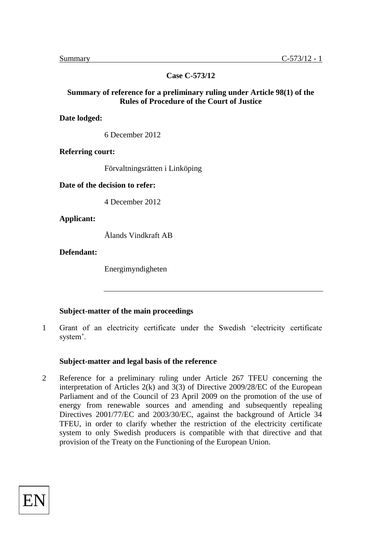**Case C-573/12**

## **Summary of reference for a preliminary ruling under Article 98(1) of the Rules of Procedure of the Court of Justice**

**Date lodged:** 

6 December 2012

**Referring court:** 

Förvaltningsrätten i Linköping

**Date of the decision to refer:** 

4 December 2012

**Applicant:** 

Ålands Vindkraft AB

**Defendant:** 

Energimyndigheten

# **Subject-matter of the main proceedings**

1 Grant of an electricity certificate under the Swedish 'electricity certificate system'.

#### **Subject-matter and legal basis of the reference**

2 Reference for a preliminary ruling under Article 267 TFEU concerning the interpretation of Articles 2(k) and 3(3) of Directive 2009/28/EC of the European Parliament and of the Council of 23 April 2009 on the promotion of the use of energy from renewable sources and amending and subsequently repealing Directives 2001/77/EC and 2003/30/EC, against the background of Article 34 TFEU, in order to clarify whether the restriction of the electricity certificate system to only Swedish producers is compatible with that directive and that provision of the Treaty on the Functioning of the European Union.

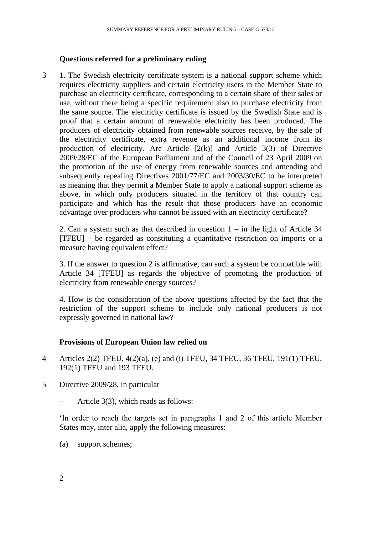#### **Questions referred for a preliminary ruling**

3 1. The Swedish electricity certificate system is a national support scheme which requires electricity suppliers and certain electricity users in the Member State to purchase an electricity certificate, corresponding to a certain share of their sales or use, without there being a specific requirement also to purchase electricity from the same source. The electricity certificate is issued by the Swedish State and is proof that a certain amount of renewable electricity has been produced. The producers of electricity obtained from renewable sources receive, by the sale of the electricity certificate, extra revenue as an additional income from its production of electricity. Are Article  $[2(k)]$  and Article 3(3) of Directive 2009/28/EC of the European Parliament and of the Council of 23 April 2009 on the promotion of the use of energy from renewable sources and amending and subsequently repealing Directives 2001/77/EC and 2003/30/EC to be interpreted as meaning that they permit a Member State to apply a national support scheme as above, in which only producers situated in the territory of that country can participate and which has the result that those producers have an economic advantage over producers who cannot be issued with an electricity certificate?

2. Can a system such as that described in question  $1 - in$  the light of Article 34 [TFEU] – be regarded as constituting a quantitative restriction on imports or a measure having equivalent effect?

3. If the answer to question 2 is affirmative, can such a system be compatible with Article 34 [TFEU] as regards the objective of promoting the production of electricity from renewable energy sources?

4. How is the consideration of the above questions affected by the fact that the restriction of the support scheme to include only national producers is not expressly governed in national law?

#### **Provisions of European Union law relied on**

- 4 Articles 2(2) TFEU, 4(2)(a), (e) and (i) TFEU, 34 TFEU, 36 TFEU, 191(1) TFEU, 192(1) TFEU and 193 TFEU.
- 5 Directive 2009/28, in particular
	- Article 3(3), which reads as follows:

'In order to reach the targets set in paragraphs 1 and 2 of this article Member States may, inter alia, apply the following measures:

(a) support schemes;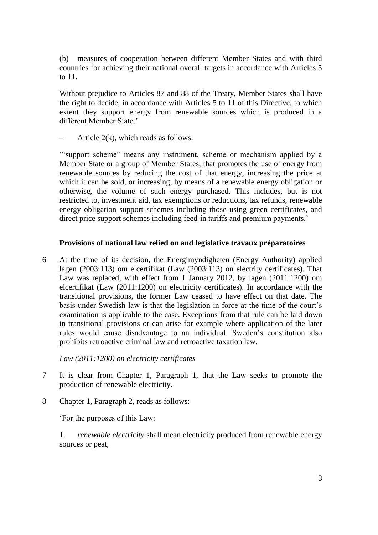(b) measures of cooperation between different Member States and with third countries for achieving their national overall targets in accordance with Articles 5 to 11.

Without prejudice to Articles 87 and 88 of the Treaty, Member States shall have the right to decide, in accordance with Articles 5 to 11 of this Directive, to which extent they support energy from renewable sources which is produced in a different Member State.'

Article  $2(k)$ , which reads as follows:

'"support scheme" means any instrument, scheme or mechanism applied by a Member State or a group of Member States, that promotes the use of energy from renewable sources by reducing the cost of that energy, increasing the price at which it can be sold, or increasing, by means of a renewable energy obligation or otherwise, the volume of such energy purchased. This includes, but is not restricted to, investment aid, tax exemptions or reductions, tax refunds, renewable energy obligation support schemes including those using green certificates, and direct price support schemes including feed-in tariffs and premium payments.'

# **Provisions of national law relied on and legislative travaux préparatoires**

6 At the time of its decision, the Energimyndigheten (Energy Authority) applied lagen (2003:113) om elcertifikat (Law (2003:113) on electrity certificates). That Law was replaced, with effect from 1 January 2012, by lagen (2011:1200) om elcertifikat (Law (2011:1200) on electricity certificates). In accordance with the transitional provisions, the former Law ceased to have effect on that date. The basis under Swedish law is that the legislation in force at the time of the court's examination is applicable to the case. Exceptions from that rule can be laid down in transitional provisions or can arise for example where application of the later rules would cause disadvantage to an individual. Sweden's constitution also prohibits retroactive criminal law and retroactive taxation law.

*Law (2011:1200) on electricity certificates*

- 7 It is clear from Chapter 1, Paragraph 1, that the Law seeks to promote the production of renewable electricity.
- 8 Chapter 1, Paragraph 2, reads as follows:

'For the purposes of this Law:

1. *renewable electricity* shall mean electricity produced from renewable energy sources or peat,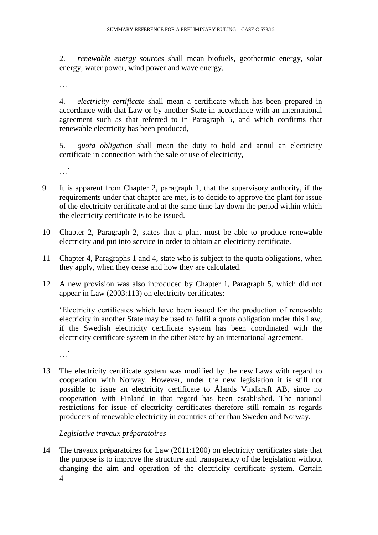2. *renewable energy sources* shall mean biofuels, geothermic energy, solar energy, water power, wind power and wave energy,

…

4. *electricity certificate* shall mean a certificate which has been prepared in accordance with that Law or by another State in accordance with an international agreement such as that referred to in Paragraph 5, and which confirms that renewable electricity has been produced,

5. *quota obligation* shall mean the duty to hold and annul an electricity certificate in connection with the sale or use of electricity,

…,

- 9 It is apparent from Chapter 2, paragraph 1, that the supervisory authority, if the requirements under that chapter are met, is to decide to approve the plant for issue of the electricity certificate and at the same time lay down the period within which the electricity certificate is to be issued.
- 10 Chapter 2, Paragraph 2, states that a plant must be able to produce renewable electricity and put into service in order to obtain an electricity certificate.
- 11 Chapter 4, Paragraphs 1 and 4, state who is subject to the quota obligations, when they apply, when they cease and how they are calculated.
- 12 A new provision was also introduced by Chapter 1, Paragraph 5, which did not appear in Law (2003:113) on electricity certificates:

'Electricity certificates which have been issued for the production of renewable electricity in another State may be used to fulfil a quota obligation under this Law, if the Swedish electricity certificate system has been coordinated with the electricity certificate system in the other State by an international agreement.

…'

13 The electricity certificate system was modified by the new Laws with regard to cooperation with Norway. However, under the new legislation it is still not possible to issue an electricity certificate to Ålands Vindkraft AB, since no cooperation with Finland in that regard has been established. The national restrictions for issue of electricity certificates therefore still remain as regards producers of renewable electricity in countries other than Sweden and Norway.

# *Legislative travaux préparatoires*

4 14 The travaux préparatoires for Law (2011:1200) on electricity certificates state that the purpose is to improve the structure and transparency of the legislation without changing the aim and operation of the electricity certificate system. Certain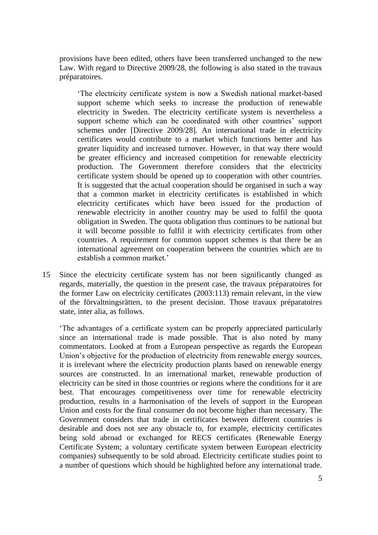provisions have been edited, others have been transferred unchanged to the new Law. With regard to Directive 2009/28, the following is also stated in the travaux préparatoires.

'The electricity certificate system is now a Swedish national market-based support scheme which seeks to increase the production of renewable electricity in Sweden. The electricity certificate system is nevertheless a support scheme which can be coordinated with other countries' support schemes under [Directive 2009/28]. An international trade in electricity certificates would contribute to a market which functions better and has greater liquidity and increased turnover. However, in that way there would be greater efficiency and increased competition for renewable electricity production. The Government therefore considers that the electricity certificate system should be opened up to cooperation with other countries. It is suggested that the actual cooperation should be organised in such a way that a common market in electricity certificates is established in which electricity certificates which have been issued for the production of renewable electricity in another country may be used to fulfil the quota obligation in Sweden. The quota obligation thus continues to be national but it will become possible to fulfil it with electricity certificates from other countries. A requirement for common support schemes is that there be an international agreement on cooperation between the countries which are to establish a common market.'

15 Since the electricity certificate system has not been significantly changed as regards, materially, the question in the present case, the travaux préparatoires for the former Law on electricity certificates (2003:113) remain relevant, in the view of the förvaltningsrätten, to the present decision. Those travaux préparatoires state, inter alia, as follows.

'The advantages of a certificate system can be properly appreciated particularly since an international trade is made possible. That is also noted by many commentators. Looked at from a European perspective as regards the European Union's objective for the production of electricity from renewable energy sources, it is irrelevant where the electricity production plants based on renewable energy sources are constructed. In an international market, renewable production of electricity can be sited in those countries or regions where the conditions for it are best. That encourages competitiveness over time for renewable electricity production, results in a harmonisation of the levels of support in the European Union and costs for the final consumer do not become higher than necessary. The Government considers that trade in certificates between different countries is desirable and does not see any obstacle to, for example, electricity certificates being sold abroad or exchanged for RECS certificates (Renewable Energy Certificate System; a voluntary certificate system between European electricity companies) subsequently to be sold abroad. Electricity certificate studies point to a number of questions which should be highlighted before any international trade.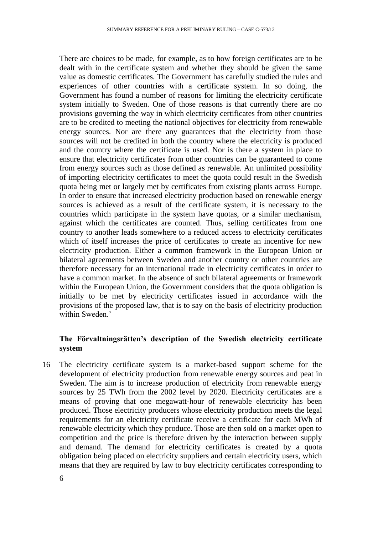There are choices to be made, for example, as to how foreign certificates are to be dealt with in the certificate system and whether they should be given the same value as domestic certificates. The Government has carefully studied the rules and experiences of other countries with a certificate system. In so doing, the Government has found a number of reasons for limiting the electricity certificate system initially to Sweden. One of those reasons is that currently there are no provisions governing the way in which electricity certificates from other countries are to be credited to meeting the national objectives for electricity from renewable energy sources. Nor are there any guarantees that the electricity from those sources will not be credited in both the country where the electricity is produced and the country where the certificate is used. Nor is there a system in place to ensure that electricity certificates from other countries can be guaranteed to come from energy sources such as those defined as renewable. An unlimited possibility of importing electricity certificates to meet the quota could result in the Swedish quota being met or largely met by certificates from existing plants across Europe. In order to ensure that increased electricity production based on renewable energy sources is achieved as a result of the certificate system, it is necessary to the countries which participate in the system have quotas, or a similar mechanism, against which the certificates are counted. Thus, selling certificates from one country to another leads somewhere to a reduced access to electricity certificates which of itself increases the price of certificates to create an incentive for new electricity production. Either a common framework in the European Union or bilateral agreements between Sweden and another country or other countries are therefore necessary for an international trade in electricity certificates in order to have a common market. In the absence of such bilateral agreements or framework within the European Union, the Government considers that the quota obligation is initially to be met by electricity certificates issued in accordance with the provisions of the proposed law, that is to say on the basis of electricity production within Sweden<sup>'</sup>

# **The Förvaltningsrätten's description of the Swedish electricity certificate system**

16 The electricity certificate system is a market-based support scheme for the development of electricity production from renewable energy sources and peat in Sweden. The aim is to increase production of electricity from renewable energy sources by 25 TWh from the 2002 level by 2020. Electricity certificates are a means of proving that one megawatt-hour of renewable electricity has been produced. Those electricity producers whose electricity production meets the legal requirements for an electricity certificate receive a certificate for each MWh of requirements for all the term of the produce. Those are then sold on a market open to competition and the price is therefore driven by the interaction between supply and demand. The demand for electricity certificates is created by a quota obligation being placed on electricity suppliers and certain electricity users, which means that they are required by law to buy electricity certificates corresponding to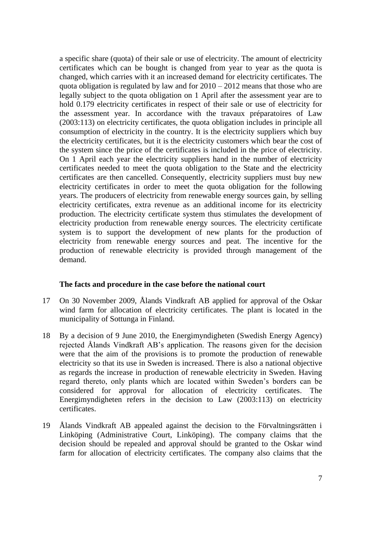a specific share (quota) of their sale or use of electricity. The amount of electricity certificates which can be bought is changed from year to year as the quota is changed, which carries with it an increased demand for electricity certificates. The quota obligation is regulated by law and for  $2010 - 2012$  means that those who are legally subject to the quota obligation on 1 April after the assessment year are to hold 0.179 electricity certificates in respect of their sale or use of electricity for the assessment year. In accordance with the travaux préparatoires of Law (2003:113) on electricity certificates, the quota obligation includes in principle all consumption of electricity in the country. It is the electricity suppliers which buy the electricity certificates, but it is the electricity customers which bear the cost of the system since the price of the certificates is included in the price of electricity. On 1 April each year the electricity suppliers hand in the number of electricity certificates needed to meet the quota obligation to the State and the electricity certificates are then cancelled. Consequently, electricity suppliers must buy new electricity certificates in order to meet the quota obligation for the following years. The producers of electricity from renewable energy sources gain, by selling electricity certificates, extra revenue as an additional income for its electricity production. The electricity certificate system thus stimulates the development of electricity production from renewable energy sources. The electricity certificate system is to support the development of new plants for the production of electricity from renewable energy sources and peat. The incentive for the production of renewable electricity is provided through management of the demand.

# **The facts and procedure in the case before the national court**

- 17 On 30 November 2009, Ålands Vindkraft AB applied for approval of the Oskar wind farm for allocation of electricity certificates. The plant is located in the municipality of Sottunga in Finland.
- 18 By a decision of 9 June 2010, the Energimyndigheten (Swedish Energy Agency) rejected Ålands Vindkraft AB's application. The reasons given for the decision were that the aim of the provisions is to promote the production of renewable electricity so that its use in Sweden is increased. There is also a national objective as regards the increase in production of renewable electricity in Sweden. Having regard thereto, only plants which are located within Sweden's borders can be considered for approval for allocation of electricity certificates. The Energimyndigheten refers in the decision to Law (2003:113) on electricity certificates.
- 19 Ålands Vindkraft AB appealed against the decision to the Förvaltningsrätten i Linköping (Administrative Court, Linköping). The company claims that the decision should be repealed and approval should be granted to the Oskar wind farm for allocation of electricity certificates. The company also claims that the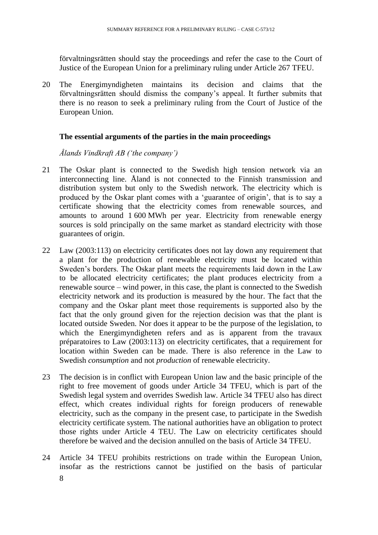förvaltningsrätten should stay the proceedings and refer the case to the Court of Justice of the European Union for a preliminary ruling under Article 267 TFEU.

20 The Energimyndigheten maintains its decision and claims that the förvaltningsrätten should dismiss the company's appeal. It further submits that there is no reason to seek a preliminary ruling from the Court of Justice of the European Union.

# **The essential arguments of the parties in the main proceedings**

*Ålands Vindkraft AB ('the company')*

- 21 The Oskar plant is connected to the Swedish high tension network via an interconnecting line. Åland is not connected to the Finnish transmission and distribution system but only to the Swedish network. The electricity which is produced by the Oskar plant comes with a 'guarantee of origin', that is to say a certificate showing that the electricity comes from renewable sources, and amounts to around 1 600 MWh per year. Electricity from renewable energy sources is sold principally on the same market as standard electricity with those guarantees of origin.
- 22 Law (2003:113) on electricity certificates does not lay down any requirement that a plant for the production of renewable electricity must be located within Sweden's borders. The Oskar plant meets the requirements laid down in the Law to be allocated electricity certificates; the plant produces electricity from a renewable source – wind power, in this case, the plant is connected to the Swedish electricity network and its production is measured by the hour. The fact that the company and the Oskar plant meet those requirements is supported also by the fact that the only ground given for the rejection decision was that the plant is located outside Sweden. Nor does it appear to be the purpose of the legislation, to which the Energimyndigheten refers and as is apparent from the travaux préparatoires to Law (2003:113) on electricity certificates, that a requirement for location within Sweden can be made. There is also reference in the Law to Swedish *consumption* and not *production* of renewable electricity.
- 23 The decision is in conflict with European Union law and the basic principle of the right to free movement of goods under Article 34 TFEU, which is part of the Swedish legal system and overrides Swedish law. Article 34 TFEU also has direct effect, which creates individual rights for foreign producers of renewable electricity, such as the company in the present case, to participate in the Swedish electricity certificate system. The national authorities have an obligation to protect those rights under Article 4 TEU. The Law on electricity certificates should therefore be waived and the decision annulled on the basis of Article 34 TFEU.
- 8 24 Article 34 TFEU prohibits restrictions on trade within the European Union, insofar as the restrictions cannot be justified on the basis of particular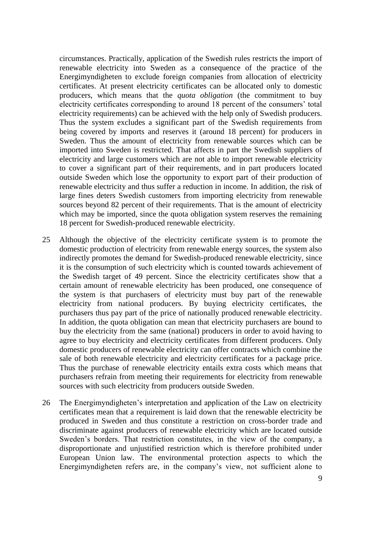circumstances. Practically, application of the Swedish rules restricts the import of renewable electricity into Sweden as a consequence of the practice of the Energimyndigheten to exclude foreign companies from allocation of electricity certificates. At present electricity certificates can be allocated only to domestic producers, which means that the *quota obligation* (the commitment to buy electricity certificates corresponding to around 18 percent of the consumers' total electricity requirements) can be achieved with the help only of Swedish producers. Thus the system excludes a significant part of the Swedish requirements from being covered by imports and reserves it (around 18 percent) for producers in Sweden. Thus the amount of electricity from renewable sources which can be imported into Sweden is restricted. That affects in part the Swedish suppliers of electricity and large customers which are not able to import renewable electricity to cover a significant part of their requirements, and in part producers located outside Sweden which lose the opportunity to export part of their production of renewable electricity and thus suffer a reduction in income. In addition, the risk of large fines deters Swedish customers from importing electricity from renewable sources beyond 82 percent of their requirements. That is the amount of electricity which may be imported, since the quota obligation system reserves the remaining 18 percent for Swedish-produced renewable electricity.

- 25 Although the objective of the electricity certificate system is to promote the domestic production of electricity from renewable energy sources, the system also indirectly promotes the demand for Swedish-produced renewable electricity, since it is the consumption of such electricity which is counted towards achievement of the Swedish target of 49 percent. Since the electricity certificates show that a certain amount of renewable electricity has been produced, one consequence of the system is that purchasers of electricity must buy part of the renewable electricity from national producers. By buying electricity certificates, the purchasers thus pay part of the price of nationally produced renewable electricity. In addition, the quota obligation can mean that electricity purchasers are bound to buy the electricity from the same (national) producers in order to avoid having to agree to buy electricity and electricity certificates from different producers. Only domestic producers of renewable electricity can offer contracts which combine the sale of both renewable electricity and electricity certificates for a package price. Thus the purchase of renewable electricity entails extra costs which means that purchasers refrain from meeting their requirements for electricity from renewable sources with such electricity from producers outside Sweden.
- 26 The Energimyndigheten's interpretation and application of the Law on electricity certificates mean that a requirement is laid down that the renewable electricity be produced in Sweden and thus constitute a restriction on cross-border trade and discriminate against producers of renewable electricity which are located outside Sweden's borders. That restriction constitutes, in the view of the company, a disproportionate and unjustified restriction which is therefore prohibited under European Union law. The environmental protection aspects to which the Energimyndigheten refers are, in the company's view, not sufficient alone to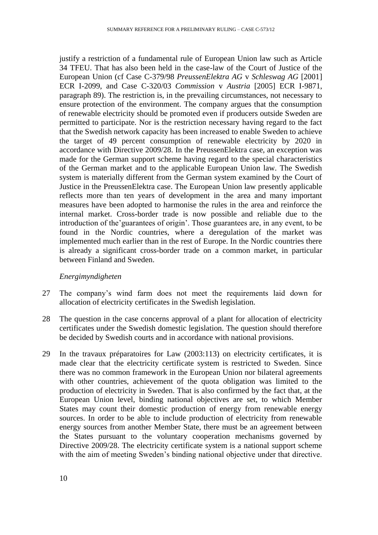justify a restriction of a fundamental rule of European Union law such as Article 34 TFEU. That has also been held in the case-law of the Court of Justice of the European Union (cf Case C-379/98 *PreussenElektra AG* v *Schleswag AG* [2001] ECR I-2099, and Case C-320/03 *Commission* v *Austria* [2005] ECR I-9871, paragraph 89). The restriction is, in the prevailing circumstances, not necessary to ensure protection of the environment. The company argues that the consumption of renewable electricity should be promoted even if producers outside Sweden are permitted to participate. Nor is the restriction necessary having regard to the fact that the Swedish network capacity has been increased to enable Sweden to achieve the target of 49 percent consumption of renewable electricity by 2020 in accordance with Directive 2009/28. In the PreussenElektra case, an exception was made for the German support scheme having regard to the special characteristics of the German market and to the applicable European Union law. The Swedish system is materially different from the German system examined by the Court of Justice in the PreussenElektra case. The European Union law presently applicable reflects more than ten years of development in the area and many important measures have been adopted to harmonise the rules in the area and reinforce the internal market. Cross-border trade is now possible and reliable due to the introduction of the'guarantees of origin'. Those guarantees are, in any event, to be found in the Nordic countries, where a deregulation of the market was implemented much earlier than in the rest of Europe. In the Nordic countries there is already a significant cross-border trade on a common market, in particular between Finland and Sweden.

#### *Energimyndigheten*

- 27 The company's wind farm does not meet the requirements laid down for allocation of electricity certificates in the Swedish legislation.
- 28 The question in the case concerns approval of a plant for allocation of electricity certificates under the Swedish domestic legislation. The question should therefore be decided by Swedish courts and in accordance with national provisions.
- 29 In the travaux préparatoires for Law (2003:113) on electricity certificates, it is made clear that the electricity certificate system is restricted to Sweden. Since there was no common framework in the European Union nor bilateral agreements with other countries, achievement of the quota obligation was limited to the production of electricity in Sweden. That is also confirmed by the fact that, at the European Union level, binding national objectives are set, to which Member States may count their domestic production of energy from renewable energy sources. In order to be able to include production of electricity from renewable energy sources from another Member State, there must be an agreement between the States pursuant to the voluntary cooperation mechanisms governed by Directive 2009/28. The electricity certificate system is a national support scheme with the aim of meeting Sweden's binding national objective under that directive.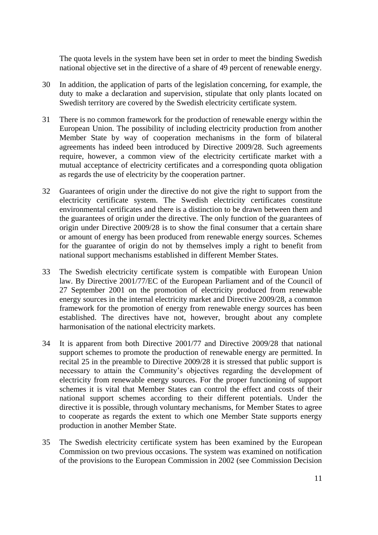The quota levels in the system have been set in order to meet the binding Swedish national objective set in the directive of a share of 49 percent of renewable energy.

- 30 In addition, the application of parts of the legislation concerning, for example, the duty to make a declaration and supervision, stipulate that only plants located on Swedish territory are covered by the Swedish electricity certificate system.
- 31 There is no common framework for the production of renewable energy within the European Union. The possibility of including electricity production from another Member State by way of cooperation mechanisms in the form of bilateral agreements has indeed been introduced by Directive 2009/28. Such agreements require, however, a common view of the electricity certificate market with a mutual acceptance of electricity certificates and a corresponding quota obligation as regards the use of electricity by the cooperation partner.
- 32 Guarantees of origin under the directive do not give the right to support from the electricity certificate system. The Swedish electricity certificates constitute environmental certificates and there is a distinction to be drawn between them and the guarantees of origin under the directive. The only function of the guarantees of origin under Directive 2009/28 is to show the final consumer that a certain share or amount of energy has been produced from renewable energy sources. Schemes for the guarantee of origin do not by themselves imply a right to benefit from national support mechanisms established in different Member States.
- 33 The Swedish electricity certificate system is compatible with European Union law. By Directive 2001/77/EC of the European Parliament and of the Council of 27 September 2001 on the promotion of electricity produced from renewable energy sources in the internal electricity market and Directive 2009/28, a common framework for the promotion of energy from renewable energy sources has been established. The directives have not, however, brought about any complete harmonisation of the national electricity markets.
- 34 It is apparent from both Directive 2001/77 and Directive 2009/28 that national support schemes to promote the production of renewable energy are permitted. In recital 25 in the preamble to Directive 2009/28 it is stressed that public support is necessary to attain the Community's objectives regarding the development of electricity from renewable energy sources. For the proper functioning of support schemes it is vital that Member States can control the effect and costs of their national support schemes according to their different potentials. Under the directive it is possible, through voluntary mechanisms, for Member States to agree to cooperate as regards the extent to which one Member State supports energy production in another Member State.
- 35 The Swedish electricity certificate system has been examined by the European Commission on two previous occasions. The system was examined on notification of the provisions to the European Commission in 2002 (see Commission Decision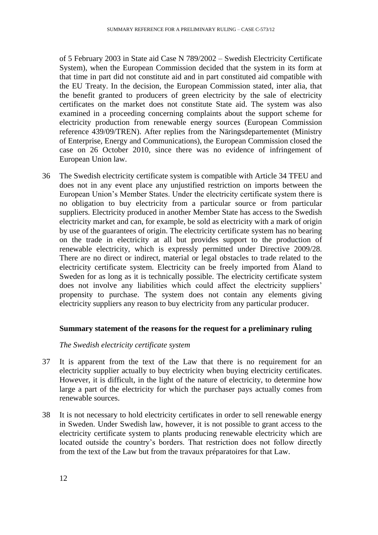of 5 February 2003 in State aid Case N 789/2002 – Swedish Electricity Certificate System), when the European Commission decided that the system in its form at that time in part did not constitute aid and in part constituted aid compatible with the EU Treaty. In the decision, the European Commission stated, inter alia, that the benefit granted to producers of green electricity by the sale of electricity certificates on the market does not constitute State aid. The system was also examined in a proceeding concerning complaints about the support scheme for electricity production from renewable energy sources (European Commission reference 439/09/TREN). After replies from the Näringsdepartementet (Ministry of Enterprise, Energy and Communications), the European Commission closed the case on 26 October 2010, since there was no evidence of infringement of European Union law.

36 The Swedish electricity certificate system is compatible with Article 34 TFEU and does not in any event place any unjustified restriction on imports between the European Union's Member States. Under the electricity certificate system there is no obligation to buy electricity from a particular source or from particular suppliers. Electricity produced in another Member State has access to the Swedish electricity market and can, for example, be sold as electricity with a mark of origin by use of the guarantees of origin. The electricity certificate system has no bearing on the trade in electricity at all but provides support to the production of renewable electricity, which is expressly permitted under Directive 2009/28. There are no direct or indirect, material or legal obstacles to trade related to the electricity certificate system. Electricity can be freely imported from Åland to Sweden for as long as it is technically possible. The electricity certificate system does not involve any liabilities which could affect the electricity suppliers' propensity to purchase. The system does not contain any elements giving electricity suppliers any reason to buy electricity from any particular producer.

#### **Summary statement of the reasons for the request for a preliminary ruling**

#### *The Swedish electricity certificate system*

- 37 It is apparent from the text of the Law that there is no requirement for an electricity supplier actually to buy electricity when buying electricity certificates. However, it is difficult, in the light of the nature of electricity, to determine how large a part of the electricity for which the purchaser pays actually comes from renewable sources.
- 38 It is not necessary to hold electricity certificates in order to sell renewable energy in Sweden. Under Swedish law, however, it is not possible to grant access to the electricity certificate system to plants producing renewable electricity which are located outside the country's borders. That restriction does not follow directly from the text of the Law but from the travaux préparatoires for that Law.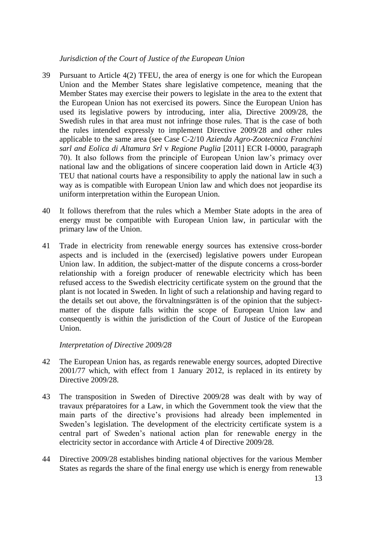#### *Jurisdiction of the Court of Justice of the European Union*

- 39 Pursuant to Article 4(2) TFEU, the area of energy is one for which the European Union and the Member States share legislative competence, meaning that the Member States may exercise their powers to legislate in the area to the extent that the European Union has not exercised its powers. Since the European Union has used its legislative powers by introducing, inter alia, Directive 2009/28, the Swedish rules in that area must not infringe those rules. That is the case of both the rules intended expressly to implement Directive 2009/28 and other rules applicable to the same area (see Case C-2/10 *Azienda Agro-Zootecnica Franchini sarl and Eolica di Altamura Srl* v *Regione Puglia* [2011] ECR I-0000, paragraph 70). It also follows from the principle of European Union law's primacy over national law and the obligations of sincere cooperation laid down in Article 4(3) TEU that national courts have a responsibility to apply the national law in such a way as is compatible with European Union law and which does not jeopardise its uniform interpretation within the European Union.
- 40 It follows therefrom that the rules which a Member State adopts in the area of energy must be compatible with European Union law, in particular with the primary law of the Union.
- 41 Trade in electricity from renewable energy sources has extensive cross-border aspects and is included in the (exercised) legislative powers under European Union law. In addition, the subject-matter of the dispute concerns a cross-border relationship with a foreign producer of renewable electricity which has been refused access to the Swedish electricity certificate system on the ground that the plant is not located in Sweden. In light of such a relationship and having regard to the details set out above, the förvaltningsrätten is of the opinion that the subjectmatter of the dispute falls within the scope of European Union law and consequently is within the jurisdiction of the Court of Justice of the European Union.

# *Interpretation of Directive 2009/28*

- 42 The European Union has, as regards renewable energy sources, adopted Directive 2001/77 which, with effect from 1 January 2012, is replaced in its entirety by Directive 2009/28.
- 43 The transposition in Sweden of Directive 2009/28 was dealt with by way of travaux préparatoires for a Law, in which the Government took the view that the main parts of the directive's provisions had already been implemented in Sweden's legislation. The development of the electricity certificate system is a central part of Sweden's national action plan for renewable energy in the electricity sector in accordance with Article 4 of Directive 2009/28.
- 44 Directive 2009/28 establishes binding national objectives for the various Member States as regards the share of the final energy use which is energy from renewable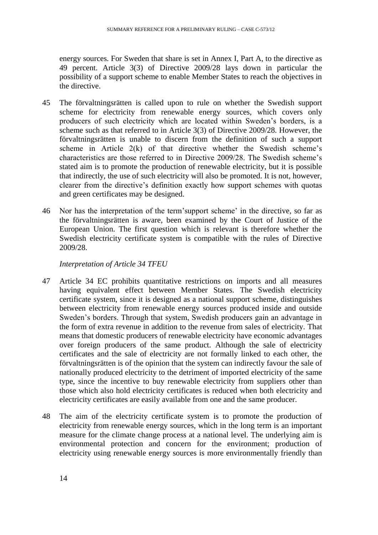energy sources. For Sweden that share is set in Annex I, Part A, to the directive as 49 percent. Article 3(3) of Directive 2009/28 lays down in particular the possibility of a support scheme to enable Member States to reach the objectives in the directive.

- 45 The förvaltningsrätten is called upon to rule on whether the Swedish support scheme for electricity from renewable energy sources, which covers only producers of such electricity which are located within Sweden's borders, is a scheme such as that referred to in Article 3(3) of Directive 2009/28. However, the förvaltningsrätten is unable to discern from the definition of such a support scheme in Article 2(k) of that directive whether the Swedish scheme's characteristics are those referred to in Directive 2009/28. The Swedish scheme's stated aim is to promote the production of renewable electricity, but it is possible that indirectly, the use of such electricity will also be promoted. It is not, however, clearer from the directive's definition exactly how support schemes with quotas and green certificates may be designed.
- 46 Nor has the interpretation of the term'support scheme' in the directive, so far as the förvaltningsrätten is aware, been examined by the Court of Justice of the European Union. The first question which is relevant is therefore whether the Swedish electricity certificate system is compatible with the rules of Directive 2009/28.

# *Interpretation of Article 34 TFEU*

- 47 Article 34 EC prohibits quantitative restrictions on imports and all measures having equivalent effect between Member States. The Swedish electricity certificate system, since it is designed as a national support scheme, distinguishes between electricity from renewable energy sources produced inside and outside Sweden's borders. Through that system, Swedish producers gain an advantage in the form of extra revenue in addition to the revenue from sales of electricity. That means that domestic producers of renewable electricity have economic advantages over foreign producers of the same product. Although the sale of electricity certificates and the sale of electricity are not formally linked to each other, the förvaltningsrätten is of the opinion that the system can indirectly favour the sale of nationally produced electricity to the detriment of imported electricity of the same type, since the incentive to buy renewable electricity from suppliers other than those which also hold electricity certificates is reduced when both electricity and electricity certificates are easily available from one and the same producer.
- 48 The aim of the electricity certificate system is to promote the production of electricity from renewable energy sources, which in the long term is an important measure for the climate change process at a national level. The underlying aim is environmental protection and concern for the environment; production of electricity using renewable energy sources is more environmentally friendly than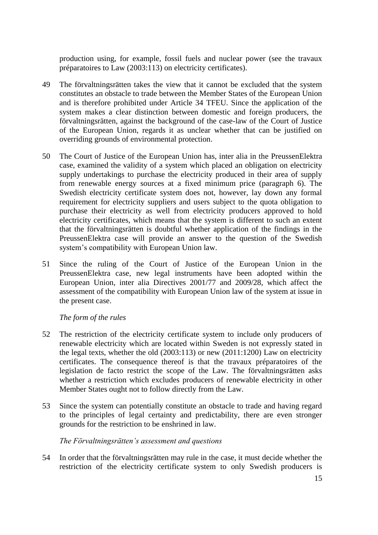production using, for example, fossil fuels and nuclear power (see the travaux préparatoires to Law (2003:113) on electricity certificates).

- 49 The förvaltningsrätten takes the view that it cannot be excluded that the system constitutes an obstacle to trade between the Member States of the European Union and is therefore prohibited under Article 34 TFEU. Since the application of the system makes a clear distinction between domestic and foreign producers, the förvaltningsrätten, against the background of the case-law of the Court of Justice of the European Union, regards it as unclear whether that can be justified on overriding grounds of environmental protection.
- 50 The Court of Justice of the European Union has, inter alia in the PreussenElektra case, examined the validity of a system which placed an obligation on electricity supply undertakings to purchase the electricity produced in their area of supply from renewable energy sources at a fixed minimum price (paragraph 6). The Swedish electricity certificate system does not, however, lay down any formal requirement for electricity suppliers and users subject to the quota obligation to purchase their electricity as well from electricity producers approved to hold electricity certificates, which means that the system is different to such an extent that the förvaltningsrätten is doubtful whether application of the findings in the PreussenElektra case will provide an answer to the question of the Swedish system's compatibility with European Union law.
- 51 Since the ruling of the Court of Justice of the European Union in the PreussenElektra case, new legal instruments have been adopted within the European Union, inter alia Directives 2001/77 and 2009/28, which affect the assessment of the compatibility with European Union law of the system at issue in the present case.

# *The form of the rules*

- 52 The restriction of the electricity certificate system to include only producers of renewable electricity which are located within Sweden is not expressly stated in the legal texts, whether the old (2003:113) or new (2011:1200) Law on electricity certificates. The consequence thereof is that the travaux préparatoires of the legislation de facto restrict the scope of the Law. The förvaltningsrätten asks whether a restriction which excludes producers of renewable electricity in other Member States ought not to follow directly from the Law.
- 53 Since the system can potentially constitute an obstacle to trade and having regard to the principles of legal certainty and predictability, there are even stronger grounds for the restriction to be enshrined in law.

# *The Förvaltningsrätten's assessment and questions*

54 In order that the förvaltningsrätten may rule in the case, it must decide whether the restriction of the electricity certificate system to only Swedish producers is